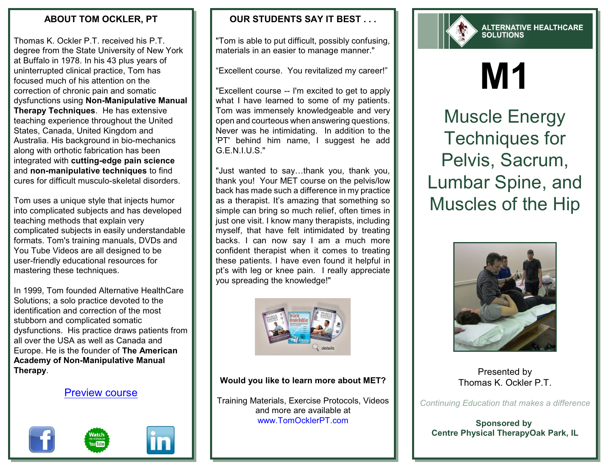## **ABOUT TOM OCKLER, PT**

Thomas K. Ockler P.T. received his P.T. degree from the State University of New York at Buffalo in 1978. In his 43 plus years of uninterrupted clinical practice, Tom has focused much of his attention on the correction of chronic pain and somatic dysfunctions using **Non-Manipulative Manual Therapy Techniques**. He has extensive teaching experience throughout the United States, Canada, United Kingdom and Australia. His background in bio-mechanics along with orthotic fabrication has been integrated with **cutting-edge pain science** and **non-manipulative techniques** to find cures for difficult musculo-skeletal disorders.

Tom uses a unique style that injects humor into complicated subjects and has developed teaching methods that explain very complicated subjects in easily understandable formats. Tom's training manuals, DVDs and You Tube Videos are all designed to be user-friendly educational resources for mastering these techniques.

In 1999, Tom founded Alternative HealthCare Solutions; a solo practice devoted to the identification and correction of the most stubborn and complicated somatic dysfunctions. His practice draws patients from all over the USA as well as Canada and Europe. He is the founder of **The American Academy of Non-Manipulative Manual Therapy**.

## [Preview](http://www.youtube.com/user/tomock11) course



## **OUR STUDENTS SAY IT BEST . . .**

"Tom is able to put difficult, possibly confusing, materials in an easier to manage manner."

"Excellent course. You revitalized my career!"

"Excellent course -- I'm excited to get to apply what I have learned to some of my patients. Tom was immensely knowledgeable and very open and courteous when answering questions. Never was he intimidating. In addition to the 'PT' behind him name, I suggest he add G.E.N.I.U.S."

"Just wanted to say…thank you, thank you, thank you! Your MET course on the pelvis/low back has made such a difference in my practice as a therapist. It's amazing that something so simple can bring so much relief, often times in just one visit. I know many therapists, including myself, that have felt intimidated by treating backs. I can now say I am a much more confident therapist when it comes to treating these patients. I have even found it helpful in pt's with leg or knee pain. I really appreciate you spreading the knowledge!"



## **Would you like to learn more about MET?**

Training Materials, Exercise Protocols, Videos and more are available at [www.TomOcklerPT.com](http://www.TomOcklerPT.com)



**ALTERNATIVE HEALTHCARE**<br>SOLUTIONS

# **M1**

Muscle Energy Techniques for Pelvis, Sacrum, Lumbar Spine, and Muscles of the Hip



Presented by Thomas K. Ockler P.T.

*Continuing Education that makes a difference*

**Sponsored by Centre Physical TherapyOak Park, IL**